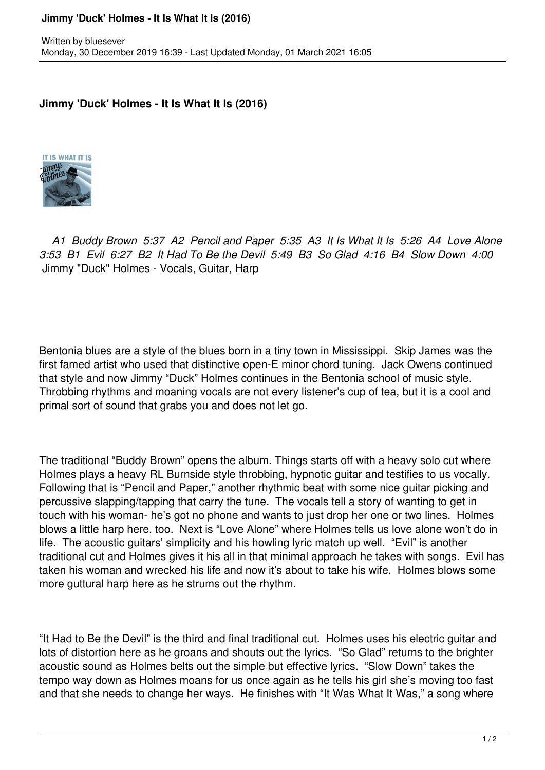## **Jimmy 'Duck' Holmes - It Is What It Is (2016)**

## **Jimmy 'Duck' Holmes - It Is What It Is (2016)**



 *A1 Buddy Brown 5:37 A2 Pencil and Paper 5:35 A3 It Is What It Is 5:26 A4 Love Alone 3:53 B1 Evil 6:27 B2 It Had To Be the Devil 5:49 B3 So Glad 4:16 B4 Slow Down 4:00*  Jimmy "Duck" Holmes - Vocals, Guitar, Harp

Bentonia blues are a style of the blues born in a tiny town in Mississippi. Skip James was the first famed artist who used that distinctive open-E minor chord tuning. Jack Owens continued that style and now Jimmy "Duck" Holmes continues in the Bentonia school of music style. Throbbing rhythms and moaning vocals are not every listener's cup of tea, but it is a cool and primal sort of sound that grabs you and does not let go.

The traditional "Buddy Brown" opens the album. Things starts off with a heavy solo cut where Holmes plays a heavy RL Burnside style throbbing, hypnotic guitar and testifies to us vocally. Following that is "Pencil and Paper," another rhythmic beat with some nice guitar picking and percussive slapping/tapping that carry the tune. The vocals tell a story of wanting to get in touch with his woman- he's got no phone and wants to just drop her one or two lines. Holmes blows a little harp here, too. Next is "Love Alone" where Holmes tells us love alone won't do in life. The acoustic guitars' simplicity and his howling lyric match up well. "Evil" is another traditional cut and Holmes gives it his all in that minimal approach he takes with songs. Evil has taken his woman and wrecked his life and now it's about to take his wife. Holmes blows some more guttural harp here as he strums out the rhythm.

"It Had to Be the Devil" is the third and final traditional cut. Holmes uses his electric guitar and lots of distortion here as he groans and shouts out the lyrics. "So Glad" returns to the brighter acoustic sound as Holmes belts out the simple but effective lyrics. "Slow Down" takes the tempo way down as Holmes moans for us once again as he tells his girl she's moving too fast and that she needs to change her ways. He finishes with "It Was What It Was," a song where